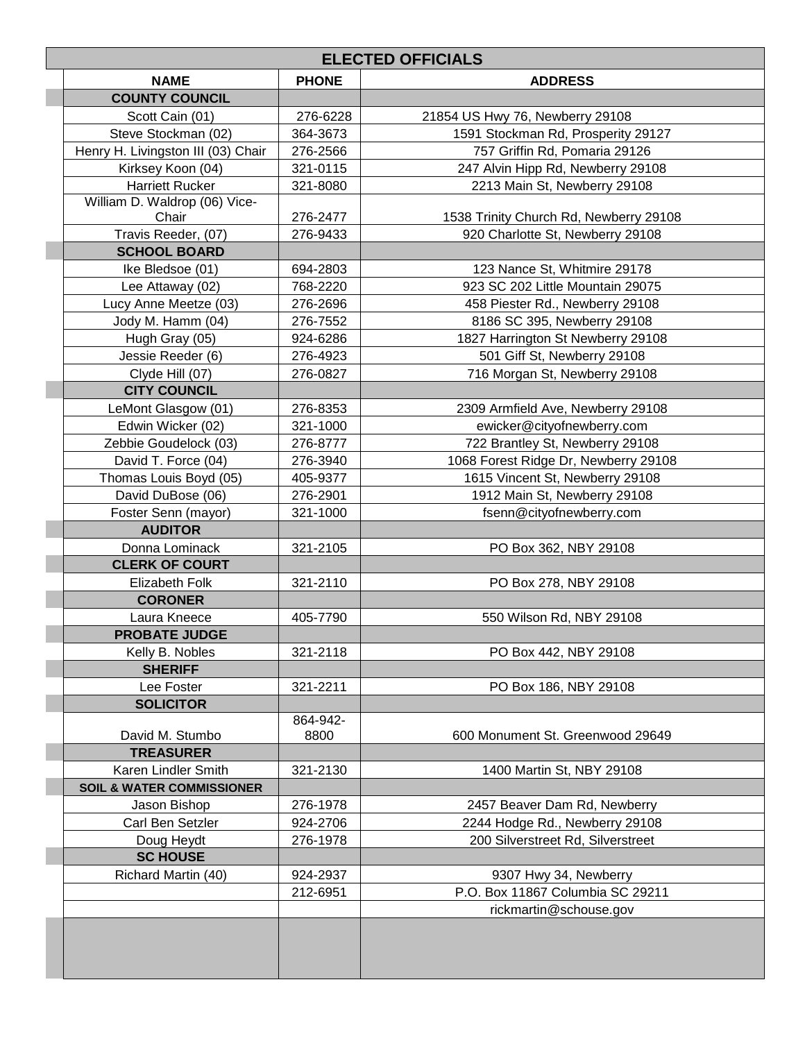| <b>ELECTED OFFICIALS</b>             |                  |                                        |  |
|--------------------------------------|------------------|----------------------------------------|--|
| <b>NAME</b>                          | <b>PHONE</b>     | <b>ADDRESS</b>                         |  |
| <b>COUNTY COUNCIL</b>                |                  |                                        |  |
| Scott Cain (01)                      | 276-6228         | 21854 US Hwy 76, Newberry 29108        |  |
| Steve Stockman (02)                  | 364-3673         | 1591 Stockman Rd, Prosperity 29127     |  |
| Henry H. Livingston III (03) Chair   | 276-2566         | 757 Griffin Rd, Pomaria 29126          |  |
| Kirksey Koon (04)                    | 321-0115         | 247 Alvin Hipp Rd, Newberry 29108      |  |
| <b>Harriett Rucker</b>               | 321-8080         | 2213 Main St, Newberry 29108           |  |
| William D. Waldrop (06) Vice-        |                  |                                        |  |
| Chair                                | 276-2477         | 1538 Trinity Church Rd, Newberry 29108 |  |
| Travis Reeder, (07)                  | 276-9433         | 920 Charlotte St, Newberry 29108       |  |
| <b>SCHOOL BOARD</b>                  |                  |                                        |  |
| Ike Bledsoe (01)                     | 694-2803         | 123 Nance St, Whitmire 29178           |  |
| Lee Attaway (02)                     | 768-2220         | 923 SC 202 Little Mountain 29075       |  |
| Lucy Anne Meetze (03)                | 276-2696         | 458 Piester Rd., Newberry 29108        |  |
| Jody M. Hamm (04)                    | 276-7552         | 8186 SC 395, Newberry 29108            |  |
| Hugh Gray (05)                       | 924-6286         | 1827 Harrington St Newberry 29108      |  |
| Jessie Reeder (6)                    | 276-4923         | 501 Giff St, Newberry 29108            |  |
| Clyde Hill (07)                      | 276-0827         | 716 Morgan St, Newberry 29108          |  |
| <b>CITY COUNCIL</b>                  |                  |                                        |  |
| LeMont Glasgow (01)                  | 276-8353         | 2309 Armfield Ave, Newberry 29108      |  |
| Edwin Wicker (02)                    | 321-1000         | ewicker@cityofnewberry.com             |  |
| Zebbie Goudelock (03)                | 276-8777         | 722 Brantley St, Newberry 29108        |  |
| David T. Force (04)                  | 276-3940         | 1068 Forest Ridge Dr, Newberry 29108   |  |
| Thomas Louis Boyd (05)               | 405-9377         | 1615 Vincent St, Newberry 29108        |  |
| David DuBose (06)                    | 276-2901         | 1912 Main St, Newberry 29108           |  |
| Foster Senn (mayor)                  | 321-1000         | fsenn@cityofnewberry.com               |  |
| <b>AUDITOR</b>                       |                  |                                        |  |
| Donna Lominack                       | 321-2105         | PO Box 362, NBY 29108                  |  |
| <b>CLERK OF COURT</b>                |                  |                                        |  |
| Elizabeth Folk                       | 321-2110         | PO Box 278, NBY 29108                  |  |
| <b>CORONER</b>                       |                  |                                        |  |
| Laura Kneece                         | 405-7790         |                                        |  |
| <b>PROBATE JUDGE</b>                 |                  | 550 Wilson Rd, NBY 29108               |  |
|                                      |                  |                                        |  |
| Kelly B. Nobles                      | 321-2118         | PO Box 442, NBY 29108                  |  |
| <b>SHERIFF</b>                       |                  |                                        |  |
| Lee Foster                           | 321-2211         | PO Box 186, NBY 29108                  |  |
| <b>SOLICITOR</b>                     |                  |                                        |  |
| David M. Stumbo                      | 864-942-<br>8800 | 600 Monument St. Greenwood 29649       |  |
| <b>TREASURER</b>                     |                  |                                        |  |
| Karen Lindler Smith                  | 321-2130         | 1400 Martin St, NBY 29108              |  |
|                                      |                  |                                        |  |
| <b>SOIL &amp; WATER COMMISSIONER</b> |                  |                                        |  |
| Jason Bishop                         | 276-1978         | 2457 Beaver Dam Rd, Newberry           |  |
| Carl Ben Setzler                     | 924-2706         | 2244 Hodge Rd., Newberry 29108         |  |
| Doug Heydt                           | 276-1978         | 200 Silverstreet Rd, Silverstreet      |  |
| <b>SC HOUSE</b>                      |                  |                                        |  |
| Richard Martin (40)                  | 924-2937         | 9307 Hwy 34, Newberry                  |  |
|                                      | 212-6951         | P.O. Box 11867 Columbia SC 29211       |  |
|                                      |                  | rickmartin@schouse.gov                 |  |
|                                      |                  |                                        |  |
|                                      |                  |                                        |  |
|                                      |                  |                                        |  |